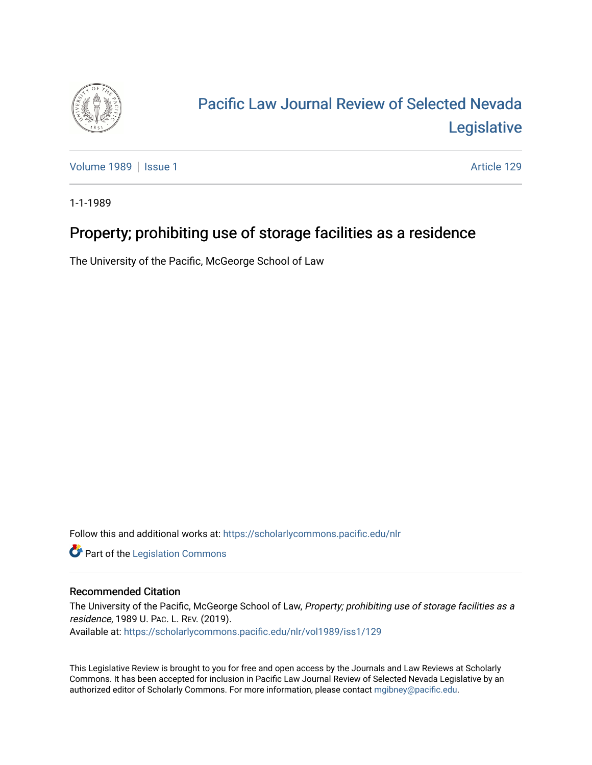

## [Pacific Law Journal Review of Selected Nevada](https://scholarlycommons.pacific.edu/nlr)  [Legislative](https://scholarlycommons.pacific.edu/nlr)

[Volume 1989](https://scholarlycommons.pacific.edu/nlr/vol1989) | [Issue 1](https://scholarlycommons.pacific.edu/nlr/vol1989/iss1) Article 129

1-1-1989

## Property; prohibiting use of storage facilities as a residence

The University of the Pacific, McGeorge School of Law

Follow this and additional works at: [https://scholarlycommons.pacific.edu/nlr](https://scholarlycommons.pacific.edu/nlr?utm_source=scholarlycommons.pacific.edu%2Fnlr%2Fvol1989%2Fiss1%2F129&utm_medium=PDF&utm_campaign=PDFCoverPages) 

**Part of the [Legislation Commons](http://network.bepress.com/hgg/discipline/859?utm_source=scholarlycommons.pacific.edu%2Fnlr%2Fvol1989%2Fiss1%2F129&utm_medium=PDF&utm_campaign=PDFCoverPages)** 

## Recommended Citation

The University of the Pacific, McGeorge School of Law, Property; prohibiting use of storage facilities as a residence, 1989 U. PAC. L. REV. (2019). Available at: [https://scholarlycommons.pacific.edu/nlr/vol1989/iss1/129](https://scholarlycommons.pacific.edu/nlr/vol1989/iss1/129?utm_source=scholarlycommons.pacific.edu%2Fnlr%2Fvol1989%2Fiss1%2F129&utm_medium=PDF&utm_campaign=PDFCoverPages) 

This Legislative Review is brought to you for free and open access by the Journals and Law Reviews at Scholarly Commons. It has been accepted for inclusion in Pacific Law Journal Review of Selected Nevada Legislative by an authorized editor of Scholarly Commons. For more information, please contact [mgibney@pacific.edu](mailto:mgibney@pacific.edu).